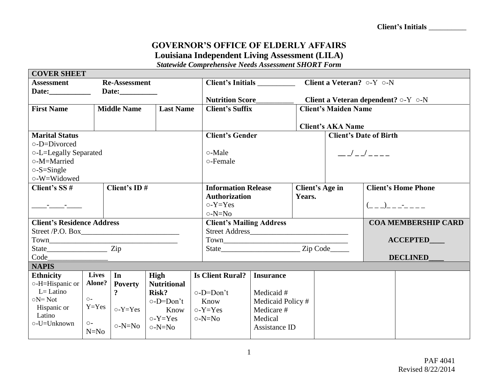## **GOVERNOR'S OFFICE OF ELDERLY AFFAIRS Louisiana Independent Living Assessment (LILA)**

*Statewide Comprehensive Needs Assessment SHORT Form*

| <b>COVER SHEET</b>                |                      |                                        |                       |                            |                                                              |                                 |                                               |                                                   |  |                            |  |
|-----------------------------------|----------------------|----------------------------------------|-----------------------|----------------------------|--------------------------------------------------------------|---------------------------------|-----------------------------------------------|---------------------------------------------------|--|----------------------------|--|
| <b>Assessment</b>                 | <b>Re-Assessment</b> |                                        |                       |                            | Client a Veteran? $\circ$ -Y $\circ$ -N<br>Client's Initials |                                 |                                               |                                                   |  |                            |  |
|                                   |                      |                                        |                       |                            |                                                              |                                 |                                               |                                                   |  |                            |  |
|                                   |                      |                                        |                       | <b>Nutrition Score</b>     |                                                              |                                 |                                               | Client a Veteran dependent? $\circ$ -Y $\circ$ -N |  |                            |  |
| <b>First Name</b>                 |                      | <b>Middle Name</b><br><b>Last Name</b> |                       |                            | <b>Client's Suffix</b>                                       |                                 |                                               | <b>Client's Maiden Name</b>                       |  |                            |  |
|                                   |                      |                                        |                       |                            |                                                              |                                 |                                               |                                                   |  |                            |  |
|                                   |                      |                                        |                       | <b>Client's AKA Name</b>   |                                                              |                                 |                                               |                                                   |  |                            |  |
| <b>Marital Status</b>             |                      |                                        |                       |                            | <b>Client's Gender</b>                                       |                                 |                                               | <b>Client's Date of Birth</b>                     |  |                            |  |
| $\circ$ -D=Divorced               |                      |                                        |                       |                            |                                                              |                                 |                                               |                                                   |  |                            |  |
| o-L=Legally Separated             |                      |                                        |                       |                            | ○-Male                                                       |                                 |                                               |                                                   |  |                            |  |
| o-M=Married                       |                      |                                        |                       |                            | o-Female                                                     |                                 |                                               |                                                   |  |                            |  |
| $\circ$ -S=Single                 |                      |                                        |                       |                            |                                                              |                                 |                                               |                                                   |  |                            |  |
| o-W=Widowed                       |                      |                                        |                       |                            |                                                              |                                 |                                               |                                                   |  |                            |  |
| Client's ID#<br>Client's SS #     |                      |                                        |                       | <b>Information Release</b> |                                                              |                                 | <b>Client's Home Phone</b><br>Client's Age in |                                                   |  |                            |  |
|                                   |                      |                                        |                       |                            | <b>Authorization</b>                                         |                                 |                                               | Years.                                            |  |                            |  |
| <u> Alexandrian State Books (</u> |                      |                                        |                       |                            | $o-Y=Yes$                                                    |                                 |                                               | $($ _ _ )_ _ _-_ _ _ _                            |  |                            |  |
|                                   |                      |                                        |                       |                            | $\circ$ -N=No                                                |                                 |                                               |                                                   |  |                            |  |
| <b>Client's Residence Address</b> |                      |                                        |                       |                            |                                                              | <b>Client's Mailing Address</b> |                                               |                                                   |  | <b>COA MEMBERSHIP CARD</b> |  |
|                                   |                      |                                        |                       |                            |                                                              |                                 |                                               |                                                   |  |                            |  |
|                                   |                      |                                        |                       |                            |                                                              |                                 |                                               | <b>ACCEPTED</b>                                   |  |                            |  |
|                                   |                      |                                        |                       |                            |                                                              |                                 |                                               |                                                   |  |                            |  |
|                                   |                      |                                        |                       |                            |                                                              |                                 |                                               | <b>DECLINED</b>                                   |  |                            |  |
| <b>NAPIS</b>                      |                      |                                        |                       |                            |                                                              |                                 |                                               |                                                   |  |                            |  |
| <b>Ethnicity</b>                  | <b>Lives</b>         | In                                     | High                  |                            | <b>Is Client Rural?</b>                                      | <b>Insurance</b>                |                                               |                                                   |  |                            |  |
| o-H=Hispanic or                   | Alone?               | <b>Poverty</b>                         | <b>Nutritional</b>    |                            |                                                              |                                 |                                               |                                                   |  |                            |  |
| $L = Latino$                      |                      | $\mathbf{?}$                           | Risk?                 |                            | o-D=Don't                                                    | Medicaid #                      |                                               |                                                   |  |                            |  |
| $\circ$ N=Not                     | $\circ$ -            |                                        | $\circ$ -D=Don't      |                            | Know                                                         | Medicaid Policy#                |                                               |                                                   |  |                            |  |
| Hispanic or<br>Latino             | $Y = Yes$            |                                        | $\circ$ -Y=Yes   Know |                            | $o-Y=Yes$                                                    | Medicare #                      |                                               |                                                   |  |                            |  |
| o-U=Unknown                       | $O -$                |                                        | $o-Y=Yes$             |                            | $\circ$ -N=No                                                | Medical                         |                                               |                                                   |  |                            |  |
|                                   | $N=N0$               | o-N=No                                 | $\circ$ -N=No         |                            |                                                              | Assistance ID                   |                                               |                                                   |  |                            |  |
|                                   |                      |                                        |                       |                            |                                                              |                                 |                                               |                                                   |  |                            |  |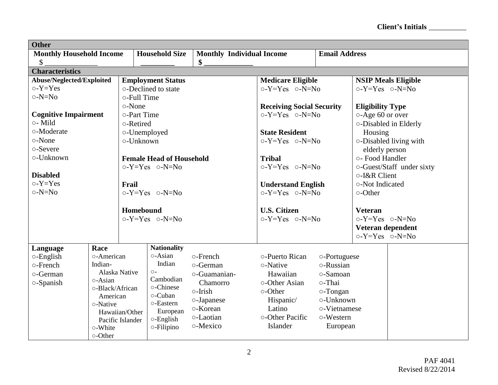**Client's Initials** \_\_\_\_\_\_\_\_\_\_

| <b>Other</b>                                                                                                                       |               |                                           |                                 |                                  |                                                       |                  |                         |                            |
|------------------------------------------------------------------------------------------------------------------------------------|---------------|-------------------------------------------|---------------------------------|----------------------------------|-------------------------------------------------------|------------------|-------------------------|----------------------------|
| <b>Monthly Household Income</b>                                                                                                    |               |                                           | <b>Household Size</b>           | <b>Monthly Individual Income</b> | <b>Email Address</b>                                  |                  |                         |                            |
| $\boldsymbol{\mathsf{S}}$                                                                                                          |               |                                           |                                 | \$                               |                                                       |                  |                         |                            |
| <b>Characteristics</b>                                                                                                             |               |                                           |                                 |                                  |                                                       |                  |                         |                            |
| Abuse/Neglected/Exploited                                                                                                          |               |                                           | <b>Employment Status</b>        |                                  | <b>Medicare Eligible</b>                              |                  |                         | <b>NSIP Meals Eligible</b> |
| $o-Y = Yes$                                                                                                                        |               |                                           | o-Declined to state             |                                  | $o-Y=Yes$ $o-N=No$                                    |                  | $o-Y=Yes$ $o-N=No$      |                            |
| $\circ$ -N=No                                                                                                                      |               | o-Full Time                               |                                 |                                  |                                                       |                  |                         |                            |
|                                                                                                                                    |               | ○-None                                    |                                 |                                  | <b>Receiving Social Security</b>                      |                  | <b>Eligibility Type</b> |                            |
| <b>Cognitive Impairment</b>                                                                                                        |               | o-Part Time                               |                                 |                                  | $o-Y=Yes$ $o-N=No$                                    |                  | ○-Age 60 or over        |                            |
| o- Mild                                                                                                                            |               | o-Retired                                 |                                 |                                  |                                                       |                  |                         | o-Disabled in Elderly      |
| o-Moderate                                                                                                                         |               | o-Unemployed                              |                                 |                                  | <b>State Resident</b>                                 |                  | Housing                 |                            |
| o-None                                                                                                                             |               | o-Unknown                                 |                                 |                                  | $o-Y=Yes$ $o-N=No$                                    |                  |                         | ○-Disabled living with     |
| o-Severe                                                                                                                           |               |                                           |                                 |                                  |                                                       |                  | elderly person          |                            |
| o-Unknown                                                                                                                          |               |                                           | <b>Female Head of Household</b> |                                  | <b>Tribal</b>                                         |                  | o- Food Handler         |                            |
|                                                                                                                                    |               |                                           | $o-Y=Yes$ $o-N=No$              |                                  | $o-Y=Yes$ $o-N=No$                                    |                  |                         | o-Guest/Staff under sixty  |
| <b>Disabled</b>                                                                                                                    |               |                                           |                                 |                                  |                                                       |                  | o-I&R Client            |                            |
| $o-Y = Yes$                                                                                                                        |               | Frail                                     |                                 |                                  | <b>Understand English</b>                             |                  | o-Not Indicated         |                            |
| $\circ$ -N=No                                                                                                                      |               |                                           | $o-Y=Yes$ $o-N=No$              |                                  | $o-Y=Yes$ $o-N=No$                                    |                  | $\circ$ -Other          |                            |
|                                                                                                                                    |               |                                           |                                 |                                  |                                                       |                  |                         |                            |
|                                                                                                                                    |               | Homebound                                 |                                 |                                  | <b>U.S. Citizen</b>                                   |                  | <b>Veteran</b>          |                            |
|                                                                                                                                    |               | $o-Y=Yes$ $o-N=No$                        |                                 |                                  | $o-Y=Yes$ $o-N=No$                                    |                  | $o-Y=Yes$ $o-N=No$      |                            |
|                                                                                                                                    |               |                                           |                                 |                                  |                                                       |                  | Veteran dependent       |                            |
|                                                                                                                                    |               |                                           |                                 |                                  |                                                       |                  | $o-Y=Yes$ $o-N=No$      |                            |
| Language                                                                                                                           | Race          |                                           | <b>Nationality</b>              |                                  |                                                       |                  |                         |                            |
| $\circ$ -English                                                                                                                   | o-American    |                                           | o-Asian                         | o-French                         | o-Puerto Rican                                        | o-Portuguese     |                         |                            |
| o-French                                                                                                                           | Indian-       |                                           | Indian                          | o-German                         | ○-Native                                              | o-Russian        |                         |                            |
| o-German                                                                                                                           | Alaska Native |                                           | $O -$                           | o-Guamanian-                     | Hawaiian                                              | o-Samoan         |                         |                            |
| $\circ$ -Asian<br>o-Spanish<br>o-Black/African<br>American<br>o-Native<br>Hawaiian/Other<br>Pacific Islander<br>o-White<br>o-Other |               |                                           | Cambodian                       | Chamorro                         | o-Other Asian<br>o-Thai<br>o-Other<br>$\circ$ -Tongan |                  |                         |                            |
|                                                                                                                                    |               |                                           | o-Chinese                       | o-Irish                          |                                                       |                  |                         |                            |
|                                                                                                                                    |               |                                           | o-Cuban                         | o-Japanese                       | Hispanic/                                             | o-Unknown        |                         |                            |
|                                                                                                                                    |               | o-Eastern<br>European<br>$\circ$ -English |                                 | o-Korean                         | Latino                                                | o-Vietnamese     |                         |                            |
|                                                                                                                                    |               |                                           |                                 | o-Laotian                        | o-Other Pacific                                       | $\circ$ -Western |                         |                            |
|                                                                                                                                    |               |                                           |                                 | o-Mexico                         | Islander                                              |                  |                         |                            |
|                                                                                                                                    |               |                                           | $\circ$ -Filipino               |                                  | European                                              |                  |                         |                            |
|                                                                                                                                    |               |                                           |                                 |                                  |                                                       |                  |                         |                            |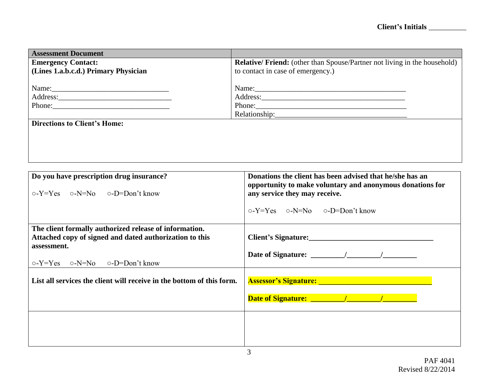| <b>Assessment Document</b>                                                                                                                                                                                                     |                                                                                                                |  |  |  |
|--------------------------------------------------------------------------------------------------------------------------------------------------------------------------------------------------------------------------------|----------------------------------------------------------------------------------------------------------------|--|--|--|
| <b>Emergency Contact:</b>                                                                                                                                                                                                      | <b>Relative/Friend:</b> (other than Spouse/Partner not living in the household)                                |  |  |  |
| (Lines 1.a.b.c.d.) Primary Physician                                                                                                                                                                                           | to contact in case of emergency.)                                                                              |  |  |  |
|                                                                                                                                                                                                                                |                                                                                                                |  |  |  |
|                                                                                                                                                                                                                                |                                                                                                                |  |  |  |
|                                                                                                                                                                                                                                | Address: No. 1998                                                                                              |  |  |  |
| Phone: 2008 Phone: 2008 Phone: 2008 Phone: 2008 Phone: 2008 Phone: 2008 Phone: 2008 Phone: 2008 Phone: 2008 Phone: 2008 Phone: 2008 Phone: 2008 Phone: 2008 Phone: 2008 Phone: 2008 Phone: 2008 Phone: 2008 Phone: 2008 Phone: |                                                                                                                |  |  |  |
|                                                                                                                                                                                                                                | Phone:                                                                                                         |  |  |  |
| <b>Directions to Client's Home:</b>                                                                                                                                                                                            |                                                                                                                |  |  |  |
|                                                                                                                                                                                                                                |                                                                                                                |  |  |  |
|                                                                                                                                                                                                                                |                                                                                                                |  |  |  |
|                                                                                                                                                                                                                                |                                                                                                                |  |  |  |
|                                                                                                                                                                                                                                |                                                                                                                |  |  |  |
|                                                                                                                                                                                                                                |                                                                                                                |  |  |  |
|                                                                                                                                                                                                                                |                                                                                                                |  |  |  |
| Do you have prescription drug insurance?                                                                                                                                                                                       | Donations the client has been advised that he/she has an                                                       |  |  |  |
|                                                                                                                                                                                                                                | opportunity to make voluntary and anonymous donations for                                                      |  |  |  |
| $o-Y=Y$ es $o-N=No$ $o-D=Don't know$                                                                                                                                                                                           | any service they may receive.                                                                                  |  |  |  |
|                                                                                                                                                                                                                                |                                                                                                                |  |  |  |
|                                                                                                                                                                                                                                |                                                                                                                |  |  |  |
|                                                                                                                                                                                                                                | $o-Y=Yes$ $o-N=No$ $o-D=Don't know$                                                                            |  |  |  |
|                                                                                                                                                                                                                                |                                                                                                                |  |  |  |
| The client formally authorized release of information.                                                                                                                                                                         |                                                                                                                |  |  |  |
| Attached copy of signed and dated authorization to this                                                                                                                                                                        | Client's Signature:                                                                                            |  |  |  |
| assessment.                                                                                                                                                                                                                    |                                                                                                                |  |  |  |
|                                                                                                                                                                                                                                |                                                                                                                |  |  |  |
| $o-Y=Y$ es $o-N=No$ $o-D=Don't$ know                                                                                                                                                                                           |                                                                                                                |  |  |  |
|                                                                                                                                                                                                                                |                                                                                                                |  |  |  |
| List all services the client will receive in the bottom of this form.                                                                                                                                                          | Assessor's Signature: No. 1996. The Second State of the Second State of the Second State of the Second State o |  |  |  |
|                                                                                                                                                                                                                                |                                                                                                                |  |  |  |
|                                                                                                                                                                                                                                |                                                                                                                |  |  |  |
|                                                                                                                                                                                                                                |                                                                                                                |  |  |  |
|                                                                                                                                                                                                                                |                                                                                                                |  |  |  |
|                                                                                                                                                                                                                                |                                                                                                                |  |  |  |
|                                                                                                                                                                                                                                |                                                                                                                |  |  |  |
|                                                                                                                                                                                                                                |                                                                                                                |  |  |  |
|                                                                                                                                                                                                                                |                                                                                                                |  |  |  |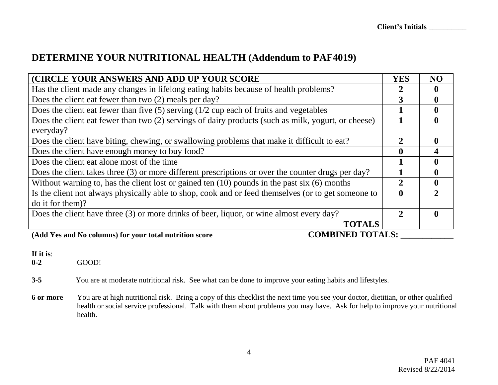## **DETERMINE YOUR NUTRITIONAL HEALTH (Addendum to PAF4019)**

| (CIRCLE YOUR ANSWERS AND ADD UP YOUR SCORE                                                          | <b>YES</b>   | NO                          |
|-----------------------------------------------------------------------------------------------------|--------------|-----------------------------|
| Has the client made any changes in lifelong eating habits because of health problems?               |              | $\bf{0}$                    |
| Does the client eat fewer than two (2) meals per day?                                               | 3            | $\mathbf 0$                 |
| Does the client eat fewer than five $(5)$ serving $(1/2$ cup each of fruits and vegetables          |              | $\mathbf{0}$                |
| Does the client eat fewer than two (2) servings of dairy products (such as milk, yogurt, or cheese) |              | $\mathbf 0$                 |
| everyday?                                                                                           |              |                             |
| Does the client have biting, chewing, or swallowing problems that make it difficult to eat?         | 2            | $\boldsymbol{0}$            |
| Does the client have enough money to buy food?                                                      |              | 4                           |
| Does the client eat alone most of the time                                                          |              | $\mathbf 0$                 |
| Does the client takes three (3) or more different prescriptions or over the counter drugs per day?  |              | $\boldsymbol{0}$            |
| Without warning to, has the client lost or gained ten $(10)$ pounds in the past six $(6)$ months    |              | $\mathbf 0$                 |
| Is the client not always physically able to shop, cook and or feed themselves (or to get someone to | $\mathbf{0}$ | $\mathcal{D}_{\mathcal{L}}$ |
| do it for them)?                                                                                    |              |                             |
| Does the client have three (3) or more drinks of beer, liquor, or wine almost every day?            | 2            | $\mathbf 0$                 |
| <b>TOTALS</b>                                                                                       |              |                             |
| <b>COMBINED TOTALS:</b><br>(Add Yes and No columns) for your total nutrition score                  |              |                             |

## **If it is:**<br>0-2

**0-2** GOOD!

**3-5** You are at moderate nutritional risk. See what can be done to improve your eating habits and lifestyles.

**6 or more** You are at high nutritional risk. Bring a copy of this checklist the next time you see your doctor, dietitian, or other qualified health or social service professional. Talk with them about problems you may have. Ask for help to improve your nutritional health.